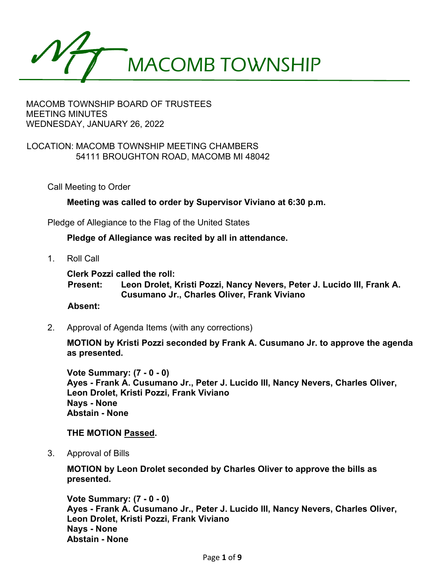

## LOCATION: MACOMB TOWNSHIP MEETING CHAMBERS 54111 BROUGHTON ROAD, MACOMB MI 48042

Call Meeting to Order

**Meeting was called to order by Supervisor Viviano at 6:30 p.m.**

Pledge of Allegiance to the Flag of the United States

**Pledge of Allegiance was recited by all in attendance.**

1. Roll Call

**Clerk Pozzi called the roll:**

**Present: Leon Drolet, Kristi Pozzi, Nancy Nevers, Peter J. Lucido III, Frank A. Cusumano Jr., Charles Oliver, Frank Viviano**

#### **Absent:**

2. Approval of Agenda Items (with any corrections)

**MOTION by Kristi Pozzi seconded by Frank A. Cusumano Jr. to approve the agenda as presented.** 

**Vote Summary: (7 - 0 - 0) Ayes - Frank A. Cusumano Jr., Peter J. Lucido III, Nancy Nevers, Charles Oliver, Leon Drolet, Kristi Pozzi, Frank Viviano Nays - None Abstain - None** 

#### **THE MOTION Passed.**

3. Approval of Bills

**MOTION by Leon Drolet seconded by Charles Oliver to approve the bills as presented.** 

**Vote Summary: (7 - 0 - 0) Ayes - Frank A. Cusumano Jr., Peter J. Lucido III, Nancy Nevers, Charles Oliver, Leon Drolet, Kristi Pozzi, Frank Viviano Nays - None Abstain - None**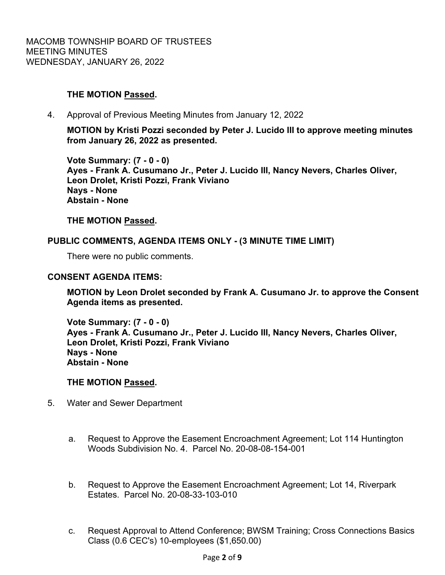# **THE MOTION Passed.**

4. Approval of Previous Meeting Minutes from January 12, 2022

**MOTION by Kristi Pozzi seconded by Peter J. Lucido III to approve meeting minutes from January 26, 2022 as presented.** 

**Vote Summary: (7 - 0 - 0) Ayes - Frank A. Cusumano Jr., Peter J. Lucido III, Nancy Nevers, Charles Oliver, Leon Drolet, Kristi Pozzi, Frank Viviano Nays - None Abstain - None** 

# **THE MOTION Passed.**

## **PUBLIC COMMENTS, AGENDA ITEMS ONLY - (3 MINUTE TIME LIMIT)**

There were no public comments.

#### **CONSENT AGENDA ITEMS:**

**MOTION by Leon Drolet seconded by Frank A. Cusumano Jr. to approve the Consent Agenda items as presented.** 

**Vote Summary: (7 - 0 - 0) Ayes - Frank A. Cusumano Jr., Peter J. Lucido III, Nancy Nevers, Charles Oliver, Leon Drolet, Kristi Pozzi, Frank Viviano Nays - None Abstain - None** 

#### **THE MOTION Passed.**

- 5. Water and Sewer Department
	- a. Request to Approve the Easement Encroachment Agreement; Lot 114 Huntington Woods Subdivision No. 4. Parcel No. 20-08-08-154-001
	- b. Request to Approve the Easement Encroachment Agreement; Lot 14, Riverpark Estates. Parcel No. 20-08-33-103-010
	- c. Request Approval to Attend Conference; BWSM Training; Cross Connections Basics Class (0.6 CEC's) 10-employees (\$1,650.00)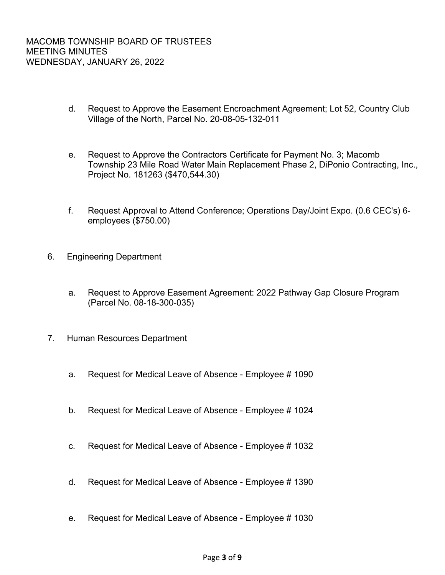- d. Request to Approve the Easement Encroachment Agreement; Lot 52, Country Club Village of the North, Parcel No. 20-08-05-132-011
- e. Request to Approve the Contractors Certificate for Payment No. 3; Macomb Township 23 Mile Road Water Main Replacement Phase 2, DiPonio Contracting, Inc., Project No. 181263 (\$470,544.30)
- f. Request Approval to Attend Conference; Operations Day/Joint Expo. (0.6 CEC's) 6 employees (\$750.00)
- 6. Engineering Department
	- a. Request to Approve Easement Agreement: 2022 Pathway Gap Closure Program (Parcel No. 08-18-300-035)
- 7. Human Resources Department
	- a. Request for Medical Leave of Absence Employee # 1090
	- b. Request for Medical Leave of Absence Employee # 1024
	- c. Request for Medical Leave of Absence Employee # 1032
	- d. Request for Medical Leave of Absence Employee # 1390
	- e. Request for Medical Leave of Absence Employee # 1030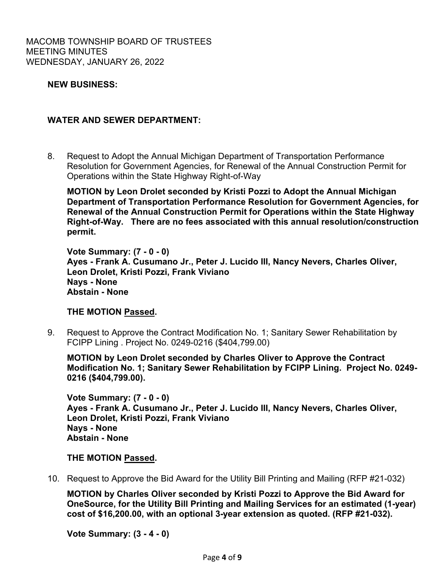## **NEW BUSINESS:**

### **WATER AND SEWER DEPARTMENT:**

8. Request to Adopt the Annual Michigan Department of Transportation Performance Resolution for Government Agencies, for Renewal of the Annual Construction Permit for Operations within the State Highway Right-of-Way

**MOTION by Leon Drolet seconded by Kristi Pozzi to Adopt the Annual Michigan Department of Transportation Performance Resolution for Government Agencies, for Renewal of the Annual Construction Permit for Operations within the State Highway Right-of-Way. There are no fees associated with this annual resolution/construction permit.** 

**Vote Summary: (7 - 0 - 0) Ayes - Frank A. Cusumano Jr., Peter J. Lucido III, Nancy Nevers, Charles Oliver, Leon Drolet, Kristi Pozzi, Frank Viviano Nays - None Abstain - None** 

### **THE MOTION Passed.**

 9. Request to Approve the Contract Modification No. 1; Sanitary Sewer Rehabilitation by FCIPP Lining . Project No. 0249-0216 (\$404,799.00)

**MOTION by Leon Drolet seconded by Charles Oliver to Approve the Contract Modification No. 1; Sanitary Sewer Rehabilitation by FCIPP Lining. Project No. 0249- 0216 (\$404,799.00).** 

**Vote Summary: (7 - 0 - 0) Ayes - Frank A. Cusumano Jr., Peter J. Lucido III, Nancy Nevers, Charles Oliver, Leon Drolet, Kristi Pozzi, Frank Viviano Nays - None Abstain - None** 

#### **THE MOTION Passed.**

10. Request to Approve the Bid Award for the Utility Bill Printing and Mailing (RFP #21-032)

**MOTION by Charles Oliver seconded by Kristi Pozzi to Approve the Bid Award for OneSource, for the Utility Bill Printing and Mailing Services for an estimated (1-year) cost of \$16,200.00, with an optional 3-year extension as quoted. (RFP #21-032).** 

**Vote Summary: (3 - 4 - 0)**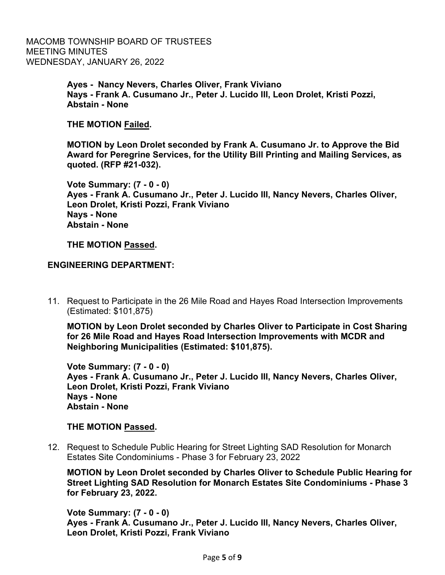> **Ayes - Nancy Nevers, Charles Oliver, Frank Viviano Nays - Frank A. Cusumano Jr., Peter J. Lucido III, Leon Drolet, Kristi Pozzi, Abstain - None**

**THE MOTION Failed.** 

**MOTION by Leon Drolet seconded by Frank A. Cusumano Jr. to Approve the Bid Award for Peregrine Services, for the Utility Bill Printing and Mailing Services, as quoted. (RFP #21-032).** 

**Vote Summary: (7 - 0 - 0) Ayes - Frank A. Cusumano Jr., Peter J. Lucido III, Nancy Nevers, Charles Oliver, Leon Drolet, Kristi Pozzi, Frank Viviano Nays - None Abstain - None** 

**THE MOTION Passed.**

**ENGINEERING DEPARTMENT:**

 11. Request to Participate in the 26 Mile Road and Hayes Road Intersection Improvements (Estimated: \$101,875)

**MOTION by Leon Drolet seconded by Charles Oliver to Participate in Cost Sharing for 26 Mile Road and Hayes Road Intersection Improvements with MCDR and Neighboring Municipalities (Estimated: \$101,875).** 

**Vote Summary: (7 - 0 - 0) Ayes - Frank A. Cusumano Jr., Peter J. Lucido III, Nancy Nevers, Charles Oliver, Leon Drolet, Kristi Pozzi, Frank Viviano Nays - None Abstain - None** 

#### **THE MOTION Passed.**

 12. Request to Schedule Public Hearing for Street Lighting SAD Resolution for Monarch Estates Site Condominiums - Phase 3 for February 23, 2022

**MOTION by Leon Drolet seconded by Charles Oliver to Schedule Public Hearing for Street Lighting SAD Resolution for Monarch Estates Site Condominiums - Phase 3 for February 23, 2022.** 

**Vote Summary: (7 - 0 - 0) Ayes - Frank A. Cusumano Jr., Peter J. Lucido III, Nancy Nevers, Charles Oliver, Leon Drolet, Kristi Pozzi, Frank Viviano**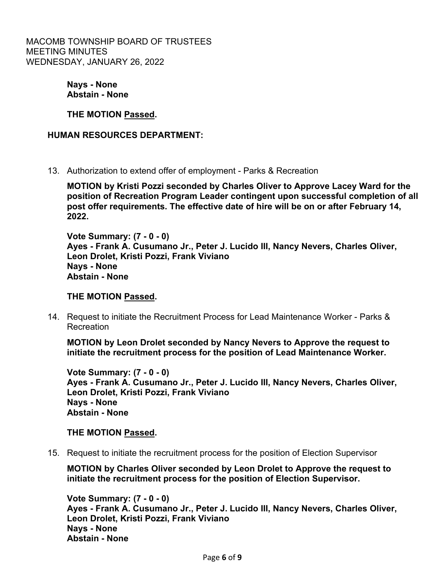> **Nays - None Abstain - None**

**THE MOTION Passed.**

**HUMAN RESOURCES DEPARTMENT:**

13. Authorization to extend offer of employment - Parks & Recreation

**MOTION by Kristi Pozzi seconded by Charles Oliver to Approve Lacey Ward for the position of Recreation Program Leader contingent upon successful completion of all post offer requirements. The effective date of hire will be on or after February 14, 2022.** 

**Vote Summary: (7 - 0 - 0) Ayes - Frank A. Cusumano Jr., Peter J. Lucido III, Nancy Nevers, Charles Oliver, Leon Drolet, Kristi Pozzi, Frank Viviano Nays - None Abstain - None** 

# **THE MOTION Passed.**

 14. Request to initiate the Recruitment Process for Lead Maintenance Worker - Parks & Recreation

**MOTION by Leon Drolet seconded by Nancy Nevers to Approve the request to initiate the recruitment process for the position of Lead Maintenance Worker.** 

**Vote Summary: (7 - 0 - 0) Ayes - Frank A. Cusumano Jr., Peter J. Lucido III, Nancy Nevers, Charles Oliver, Leon Drolet, Kristi Pozzi, Frank Viviano Nays - None Abstain - None** 

#### **THE MOTION Passed.**

15. Request to initiate the recruitment process for the position of Election Supervisor

**MOTION by Charles Oliver seconded by Leon Drolet to Approve the request to initiate the recruitment process for the position of Election Supervisor.** 

**Vote Summary: (7 - 0 - 0) Ayes - Frank A. Cusumano Jr., Peter J. Lucido III, Nancy Nevers, Charles Oliver, Leon Drolet, Kristi Pozzi, Frank Viviano Nays - None Abstain - None**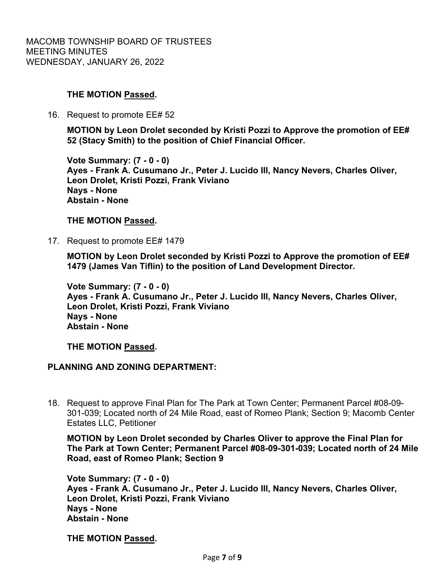# **THE MOTION Passed.**

16. Request to promote EE# 52

**MOTION by Leon Drolet seconded by Kristi Pozzi to Approve the promotion of EE# 52 (Stacy Smith) to the position of Chief Financial Officer.** 

**Vote Summary: (7 - 0 - 0) Ayes - Frank A. Cusumano Jr., Peter J. Lucido III, Nancy Nevers, Charles Oliver, Leon Drolet, Kristi Pozzi, Frank Viviano Nays - None Abstain - None** 

## **THE MOTION Passed.**

17. Request to promote EE# 1479

**MOTION by Leon Drolet seconded by Kristi Pozzi to Approve the promotion of EE# 1479 (James Van Tiflin) to the position of Land Development Director.** 

**Vote Summary: (7 - 0 - 0) Ayes - Frank A. Cusumano Jr., Peter J. Lucido III, Nancy Nevers, Charles Oliver, Leon Drolet, Kristi Pozzi, Frank Viviano Nays - None Abstain - None** 

**THE MOTION Passed.**

# **PLANNING AND ZONING DEPARTMENT:**

18. Request to approve Final Plan for The Park at Town Center; Permanent Parcel #08-09- 301-039; Located north of 24 Mile Road, east of Romeo Plank; Section 9; Macomb Center Estates LLC, Petitioner

**MOTION by Leon Drolet seconded by Charles Oliver to approve the Final Plan for The Park at Town Center; Permanent Parcel #08-09-301-039; Located north of 24 Mile Road, east of Romeo Plank; Section 9** 

**Vote Summary: (7 - 0 - 0) Ayes - Frank A. Cusumano Jr., Peter J. Lucido III, Nancy Nevers, Charles Oliver, Leon Drolet, Kristi Pozzi, Frank Viviano Nays - None Abstain - None** 

**THE MOTION Passed.**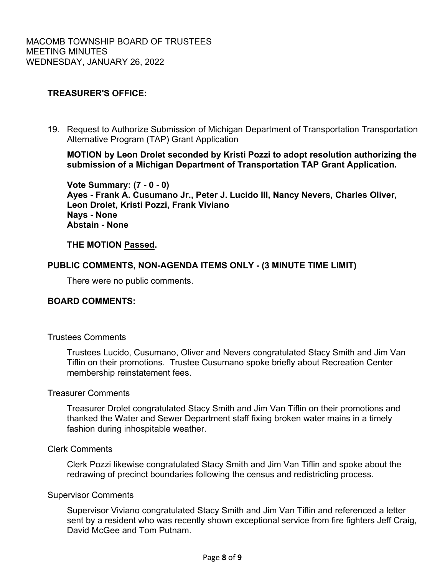# **TREASURER'S OFFICE:**

 19. Request to Authorize Submission of Michigan Department of Transportation Transportation Alternative Program (TAP) Grant Application

**MOTION by Leon Drolet seconded by Kristi Pozzi to adopt resolution authorizing the submission of a Michigan Department of Transportation TAP Grant Application.** 

**Vote Summary: (7 - 0 - 0) Ayes - Frank A. Cusumano Jr., Peter J. Lucido III, Nancy Nevers, Charles Oliver, Leon Drolet, Kristi Pozzi, Frank Viviano Nays - None Abstain - None** 

## **THE MOTION Passed.**

## **PUBLIC COMMENTS, NON-AGENDA ITEMS ONLY - (3 MINUTE TIME LIMIT)**

There were no public comments.

#### **BOARD COMMENTS:**

#### Trustees Comments

Trustees Lucido, Cusumano, Oliver and Nevers congratulated Stacy Smith and Jim Van Tiflin on their promotions. Trustee Cusumano spoke briefly about Recreation Center membership reinstatement fees.

#### Treasurer Comments

Treasurer Drolet congratulated Stacy Smith and Jim Van Tiflin on their promotions and thanked the Water and Sewer Department staff fixing broken water mains in a timely fashion during inhospitable weather.

## Clerk Comments

 Clerk Pozzi likewise congratulated Stacy Smith and Jim Van Tiflin and spoke about the redrawing of precinct boundaries following the census and redistricting process.

### Supervisor Comments

Supervisor Viviano congratulated Stacy Smith and Jim Van Tiflin and referenced a letter sent by a resident who was recently shown exceptional service from fire fighters Jeff Craig, David McGee and Tom Putnam.